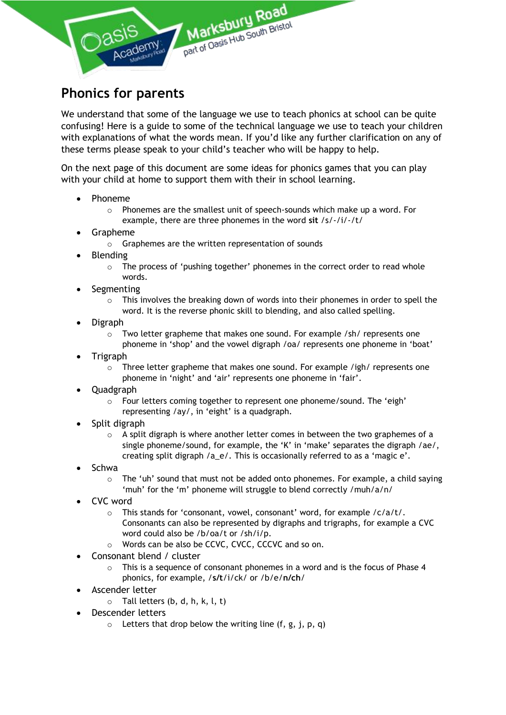

## **Phonics for parents**

We understand that some of the language we use to teach phonics at school can be quite confusing! Here is a guide to some of the technical language we use to teach your children with explanations of what the words mean. If you'd like any further clarification on any of these terms please speak to your child's teacher who will be happy to help.

On the next page of this document are some ideas for phonics games that you can play with your child at home to support them with their in school learning.

- Phoneme
	- $\circ$  Phonemes are the smallest unit of speech-sounds which make up a word. For example, there are three phonemes in the word **sit** /s/-/i/-/t/
- Grapheme
	- o Graphemes are the written representation of sounds
- Blending
	- $\circ$  The process of 'pushing together' phonemes in the correct order to read whole words.
- **Segmenting** 
	- $\circ$  This involves the breaking down of words into their phonemes in order to spell the word. It is the reverse phonic skill to blending, and also called spelling.
- Digraph
	- $\circ$  Two letter grapheme that makes one sound. For example /sh/ represents one phoneme in 'shop' and the vowel digraph /oa/ represents one phoneme in 'boat'
- Trigraph
	- $\circ$  Three letter grapheme that makes one sound. For example /igh/ represents one phoneme in 'night' and 'air' represents one phoneme in 'fair'.
- Quadgraph
	- o Four letters coming together to represent one phoneme/sound. The 'eigh' representing /ay/, in 'eight' is a quadgraph.
- Split digraph
	- $\circ$  A split digraph is where another letter comes in between the two graphemes of a single phoneme/sound, for example, the 'K' in 'make' separates the digraph /ae/, creating split digraph /a\_e/. This is occasionally referred to as a 'magic e'.
- Schwa
	- $\circ$  The 'uh' sound that must not be added onto phonemes. For example, a child saying 'muh' for the 'm' phoneme will struggle to blend correctly /muh/a/n/
- CVC word
	- o This stands for 'consonant, vowel, consonant' word, for example /c/a/t/. Consonants can also be represented by digraphs and trigraphs, for example a CVC word could also be /b/oa/t or /sh/i/p.
	- o Words can be also be CCVC, CVCC, CCCVC and so on.
- Consonant blend / cluster
	- $\circ$  This is a sequence of consonant phonemes in a word and is the focus of Phase 4 phonics, for example, /**s/t**/i/ck/ or /b/e/**n/ch**/
- Ascender letter
	- $\circ$  Tall letters (b, d, h, k, l, t)
- Descender letters
	- $\circ$  Letters that drop below the writing line (f, g, j, p, q)